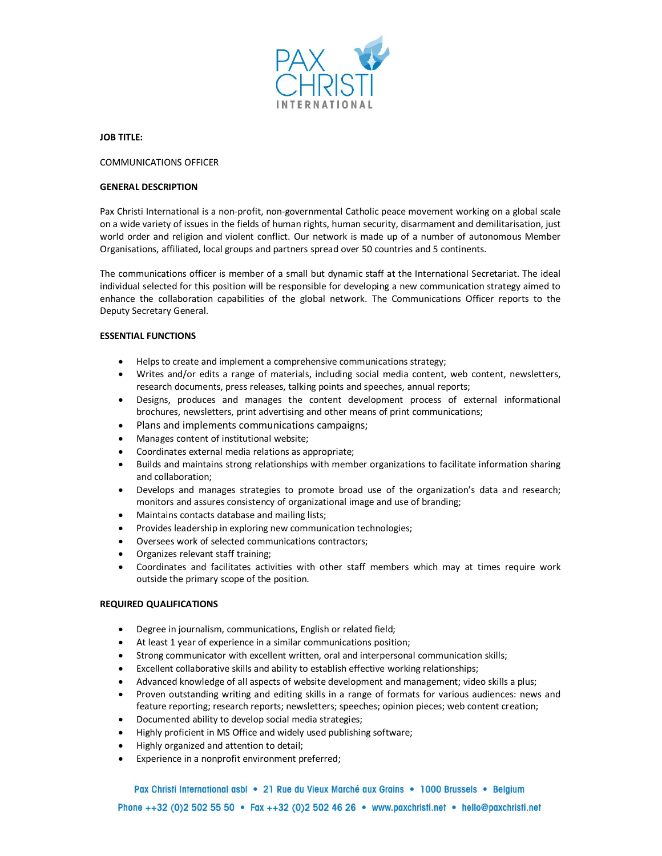

## **JOB TITLE:**

# COMMUNICATIONS OFFICER

## **GENERAL DESCRIPTION**

Pax Christi International is a non-profit, non-governmental Catholic peace movement working on a global scale on a wide variety of issues in the fields of human rights, human security, disarmament and demilitarisation, just world order and religion and violent conflict. Our network is made up of a number of autonomous Member Organisations, affiliated, local groups and partners spread over 50 countries and 5 continents.

The communications officer is member of a small but dynamic staff at the International Secretariat. The ideal individual selected for this position will be responsible for developing a new communication strategy aimed to enhance the collaboration capabilities of the global network. The Communications Officer reports to the Deputy Secretary General.

# **ESSENTIAL FUNCTIONS**

- · Helps to create and implement a comprehensive communications strategy;
- · Writes and/or edits a range of materials, including social media content, web content, newsletters, research documents, press releases, talking points and speeches, annual reports;
- · Designs, produces and manages the content development process of external informational brochures, newsletters, print advertising and other means of print communications;
- · Plans and implements communications campaigns;
- · Manages content of institutional website;
- · Coordinates external media relations as appropriate;
- · Builds and maintains strong relationships with member organizations to facilitate information sharing and collaboration;
- · Develops and manages strategies to promote broad use of the organization's data and research; monitors and assures consistency of organizational image and use of branding;
- · Maintains contacts database and mailing lists;
- · Provides leadership in exploring new communication technologies;
- Oversees work of selected communications contractors;
- · Organizes relevant staff training;
- · Coordinates and facilitates activities with other staff members which may at times require work outside the primary scope of the position.

#### **REQUIRED QUALIFICATIONS**

- · Degree in journalism, communications, English or related field;
- · At least 1 year of experience in a similar communications position;
- · Strong communicator with excellent written, oral and interpersonal communication skills;
- · Excellent collaborative skills and ability to establish effective working relationships;
- · Advanced knowledge of all aspects of website development and management; video skills a plus;
- · Proven outstanding writing and editing skills in a range of formats for various audiences: news and feature reporting; research reports; newsletters; speeches; opinion pieces; web content creation;
- · Documented ability to develop social media strategies;
- · Highly proficient in MS Office and widely used publishing software;
- · Highly organized and attention to detail;
- · Experience in a nonprofit environment preferred;